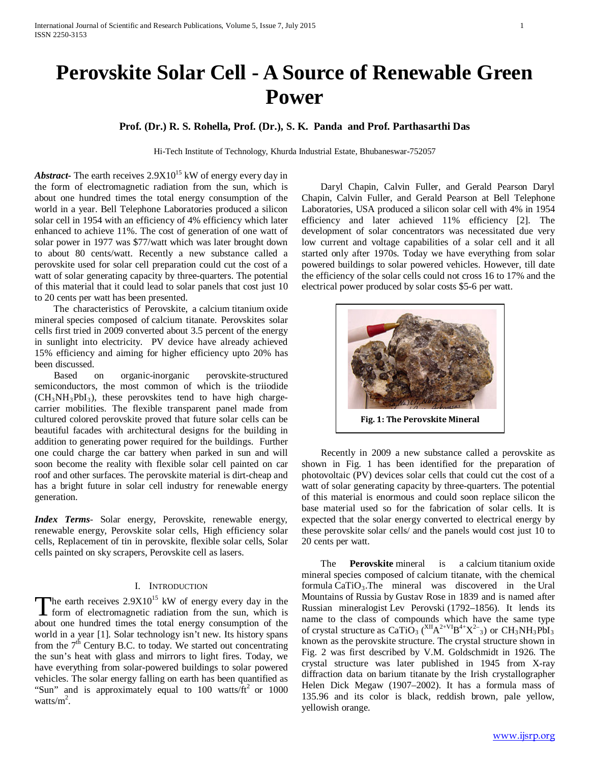# **Perovskite Solar Cell - A Source of Renewable Green Power**

# **Prof. (Dr.) R. S. Rohella, Prof. (Dr.), S. K. Panda and Prof. Parthasarthi Das**

Hi-Tech Institute of Technology, Khurda Industrial Estate, Bhubaneswar-752057

*Abstract***-** The earth receives  $2.9X10^{15}$  kW of energy every day in the form of electromagnetic radiation from the sun, which is about one hundred times the total energy consumption of the world in a year. Bell Telephone Laboratories produced a silicon solar cell in 1954 with an efficiency of 4% efficiency which later enhanced to achieve 11%. The cost of generation of one watt of solar power in 1977 was \$77/watt which was later brought down to about 80 cents/watt. Recently a new substance called a perovskite used for solar cell preparation could cut the cost of a watt of solar generating capacity by three-quarters. The potential of this material that it could lead to solar panels that cost just 10 to 20 cents per watt has been presented.

 The characteristics of Perovskite, a calcium titanium oxide mineral species composed of calcium titanate. Perovskites solar cells first tried in 2009 converted about 3.5 percent of the energy in sunlight into electricity. PV device have already achieved 15% efficiency and aiming for higher efficiency upto 20% has been discussed.

 Based on organic-inorganic perovskite-structured semiconductors, the most common of which is the triiodide  $(CH<sub>3</sub>NH<sub>3</sub>PbI<sub>3</sub>)$ , these perovskites tend to have high chargecarrier mobilities. The flexible transparent panel made from cultured colored perovskite proved that future solar cells can be beautiful facades with architectural designs for the building in addition to generating power required for the buildings. Further one could charge the car battery when parked in sun and will soon become the reality with flexible solar cell painted on car roof and other surfaces. The perovskite material is dirt-cheap and has a bright future in solar cell industry for renewable energy generation.

*Index Terms*- Solar energy, Perovskite, renewable energy, renewable energy, Perovskite solar cells, High efficiency solar cells, Replacement of tin in perovskite, flexible solar cells, Solar cells painted on sky scrapers, Perovskite cell as lasers.

# I. INTRODUCTION

The earth receives  $2.9X10^{15}$  kW of energy every day in the The earth receives  $2.9X10^{15}$  kW of energy every day in the form of electromagnetic radiation from the sun, which is about one hundred times the total energy consumption of the world in a year [1]. Solar technology isn't new. Its history spans from the  $7<sup>th</sup>$  Century B.C. to today. We started out concentrating the sun's heat with glass and mirrors to light fires. Today, we have everything from solar-powered buildings to solar powered vehicles. The solar energy falling on earth has been quantified as "Sun" and is approximately equal to 100 watts/ $\text{ft}^2$  or 1000 watts/ $m^2$ .

 Daryl Chapin, Calvin Fuller, and Gerald Pearson Daryl Chapin, Calvin Fuller, and Gerald Pearson at Bell Telephone Laboratories, USA produced a silicon solar cell with 4% in 1954 efficiency and later achieved 11% efficiency [2]. The development of solar concentrators was necessitated due very low current and voltage capabilities of a solar cell and it all started only after 1970s. Today we have everything from solar powered buildings to solar powered vehicles. However, till date the efficiency of the solar cells could not cross 16 to 17% and the electrical power produced by solar costs \$5-6 per watt.



 Recently in 2009 a new substance called a perovskite as shown in Fig. 1 has been identified for the preparation of photovoltaic (PV) devices solar cells that could cut the cost of a watt of solar generating capacity by three-quarters. The potential of this material is enormous and could soon replace silicon the base material used so for the fabrication of solar cells. It is expected that the solar energy converted to electrical energy by these perovskite solar cells/ and the panels would cost just 10 to 20 cents per watt.

 The **Perovskite** mineral is a calcium titanium oxide mineral species composed of calcium titanate, with the chemical formula  $CaTiO<sub>3</sub>$ . The mineral was discovered in the Ural Mountains of Russia by Gustav Rose in 1839 and is named after Russian mineralogist Lev Perovski (1792–1856). It lends its name to the class of compounds which have the same type of crystal structure as CaTiO<sub>3</sub> (<sup>XII</sup>A<sup>2+VI</sup>B<sup>4+</sup>X<sup>2-</sup><sub>3</sub>) or CH<sub>3</sub>NH<sub>3</sub>PbI<sub>3</sub> known as the perovskite structure. The crystal structure shown in Fig. 2 was first described by V.M. Goldschmidt in 1926. The crystal structure was later published in 1945 from X-ray diffraction data on barium titanate by the Irish crystallographer Helen Dick Megaw (1907–2002). It has a formula mass of 135.96 and its color is black, reddish brown, pale yellow, yellowish orange.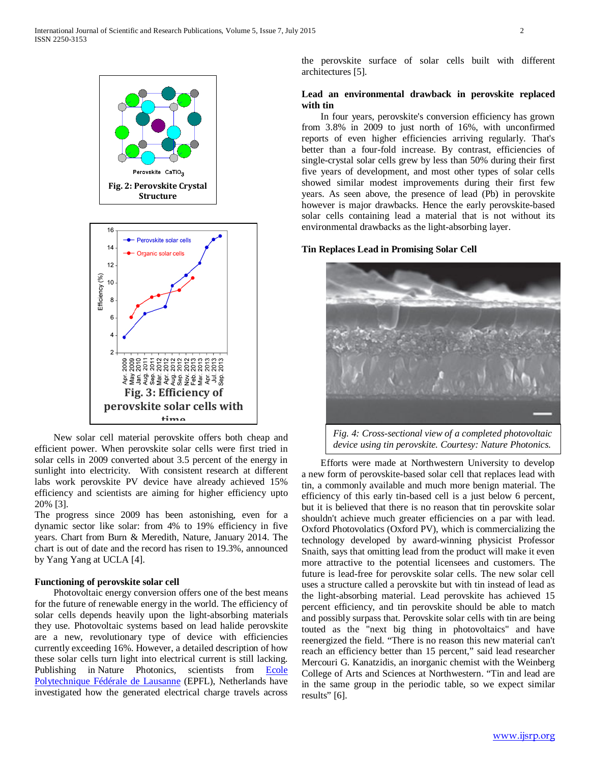

 New solar cell material perovskite offers both cheap and efficient power. When perovskite solar cells were first tried in solar cells in 2009 converted about 3.5 percent of the energy in sunlight into electricity. With consistent research at different labs work perovskite PV device have already achieved 15% efficiency and scientists are aiming for higher efficiency upto 20% [3].

The progress since 2009 has been astonishing, even for a dynamic sector like solar: from 4% to 19% efficiency in five years. Chart from Burn & Meredith, Nature, January 2014. The chart is out of date and the record has risen to 19.3%, announced by Yang Yang at UCLA [4].

#### **Functioning of perovskite solar cell**

 Photovoltaic energy conversion offers one of the best means for the future of renewable energy in the world. The efficiency of solar cells depends heavily upon the light-absorbing materials they use. Photovoltaic systems based on lead halide perovskite are a new, revolutionary type of device with efficiencies currently exceeding 16%. However, a detailed description of how these solar cells turn light into electrical current is still lacking. Publishing in Nature Photonics, scientists from Ecole [Polytechnique Fédérale de Lausanne](http://www.epfl.ch/index.en.html) (EPFL), Netherlands have investigated how the generated electrical charge travels across the perovskite surface of solar cells built with different architectures [5].

# **Lead an environmental drawback in perovskite replaced with tin**

 In four years, perovskite's conversion efficiency has grown from 3.8% in 2009 to just north of 16%, with unconfirmed reports of even higher efficiencies arriving regularly. That's better than a four-fold increase. By contrast, efficiencies of single-crystal solar cells grew by less than 50% during their first five years of development, and most other types of solar cells showed similar modest improvements during their first few years. As seen above, the presence of lead (Pb) in perovskite however is major drawbacks. Hence the early perovskite-based solar cells containing lead a material that is not without its environmental drawbacks as the light-absorbing layer.

#### **Tin Replaces Lead in Promising Solar Cell**



*Fig. 4: Cross-sectional view of a completed photovoltaic device using tin perovskite. Courtesy: Nature Photonics.*

 Efforts were made at Northwestern University to develop a new form of perovskite-based solar cell that replaces lead with tin, a commonly available and much more benign material. The efficiency of this early tin-based cell is a just below 6 percent, but it is believed that there is no reason that tin perovskite solar shouldn't achieve much greater efficiencies on a par with lead. Oxford Photovolatics (Oxford PV), which is commercializing the technology developed by award-winning physicist Professor Snaith, says that omitting lead from the product will make it even more attractive to the potential licensees and customers. The future is lead-free for perovskite solar cells. The new solar cell uses a structure called a perovskite but with tin instead of lead as the light-absorbing material. Lead perovskite has achieved 15 percent efficiency, and tin perovskite should be able to match and possibly surpass that. Perovskite solar cells with tin are being touted as the "next big thing in photovoltaics" and have reenergized the field. "There is no reason this new material can't reach an efficiency better than 15 percent," said lead researcher Mercouri G. Kanatzidis, an inorganic chemist with the Weinberg College of Arts and Sciences at Northwestern. "Tin and lead are in the same group in the periodic table, so we expect similar results" [6].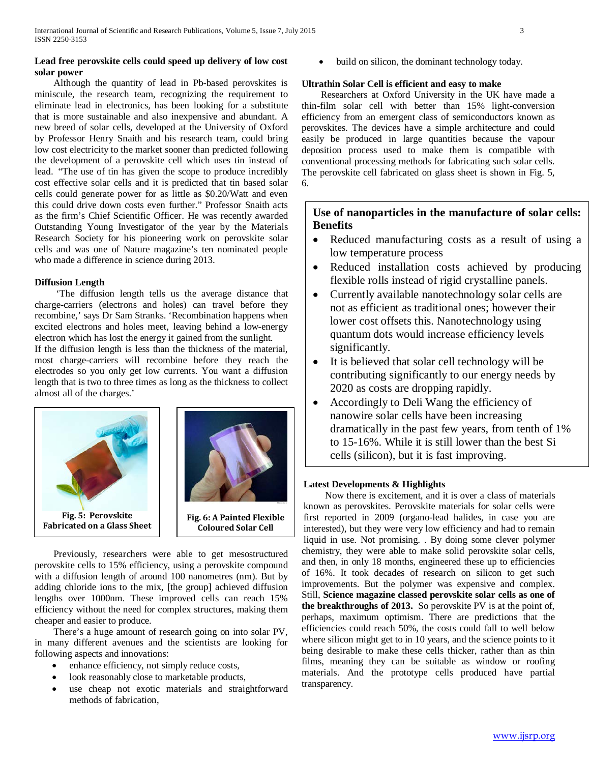# **Lead free perovskite cells could speed up delivery of low cost solar power**

 Although the quantity of lead in Pb-based perovskites is miniscule, the research team, recognizing the requirement to eliminate lead in electronics, has been looking for a substitute that is more sustainable and also inexpensive and abundant. A new breed of solar cells, developed at the University of Oxford by Professor Henry Snaith and his research team, could bring low cost electricity to the market sooner than predicted following the development of a perovskite cell which uses tin instead of lead. "The use of tin has given the scope to produce incredibly cost effective solar cells and it is predicted that tin based solar cells could generate power for as little as \$0.20/Watt and even this could drive down costs even further." Professor Snaith acts as the firm's Chief Scientific Officer. He was recently awarded Outstanding Young Investigator of the year by the Materials Research Society for his pioneering work on perovskite solar cells and was one of Nature magazine's ten nominated people who made a difference in science during 2013.

#### **Diffusion Length**

 'The diffusion length tells us the average distance that charge-carriers (electrons and holes) can travel before they recombine,' says Dr Sam Stranks. 'Recombination happens when excited electrons and holes meet, leaving behind a low-energy electron which has lost the energy it gained from the sunlight.

If the diffusion length is less than the thickness of the material, most charge-carriers will recombine before they reach the electrodes so you only get low currents. You want a diffusion length that is two to three times as long as the thickness to collect almost all of the charges.'



 Previously, researchers were able to get mesostructured perovskite cells to 15% efficiency, using a perovskite compound with a diffusion length of around 100 nanometres (nm). But by adding chloride ions to the mix, [the group] achieved diffusion lengths over 1000nm. These improved cells can reach 15% efficiency without the need for complex structures, making them cheaper and easier to produce.

 There's a huge amount of research going on into solar PV, in many different avenues and the scientists are looking for following aspects and innovations:

- enhance efficiency, not simply reduce costs,
- look reasonably close to marketable products,
- use cheap not exotic materials and straightforward methods of fabrication,

build on silicon, the dominant technology today.

## **Ultrathin Solar Cell is efficient and easy to make**

 Researchers at Oxford University in the UK have made a thin-film solar cell with better than 15% light-conversion efficiency from an emergent class of semiconductors known as perovskites. The devices have a simple architecture and could easily be produced in large quantities because the vapour deposition process used to make them is compatible with conventional processing methods for fabricating such solar cells. The perovskite cell fabricated on glass sheet is shown in Fig. 5, 6.

# **Use of nanoparticles in the manufacture of solar cells: Benefits**

- Reduced manufacturing costs as a result of using a low temperature process
- Reduced installation costs achieved by producing flexible rolls instead of rigid crystalline panels.
- Currently available nanotechnology solar cells are not as efficient as traditional ones; however their lower cost offsets this. Nanotechnology using quantum dots would increase efficiency levels significantly.
- It is believed that solar cell technology will be contributing significantly to our energy needs by 2020 as costs are dropping rapidly.
- Accordingly to Deli Wang the efficiency of nanowire solar cells have been increasing dramatically in the past few years, from tenth of 1% to 15-16%. While it is still lower than the best Si cells (silicon), but it is fast improving.

# **Latest Developments & Highlights**

 Now there is excitement, and it is over a class of materials known as perovskites. Perovskite materials for solar cells were first reported in 2009 (organo-lead halides, in case you are interested), but they were very low efficiency and had to remain liquid in use. Not promising. . By doing some clever polymer chemistry, they were able to make solid perovskite solar cells, and then, in only 18 months, engineered these up to efficiencies of 16%. It took decades of research on silicon to get such improvements. But the polymer was expensive and complex. Still, **Science magazine classed perovskite solar cells as one of the breakthroughs of 2013.** So perovskite PV is at the point of, perhaps, maximum optimism. There are predictions that the efficiencies could reach 50%, the costs could fall to well below where silicon might get to in 10 years, and the science points to it being desirable to make these cells thicker, rather than as thin films, meaning they can be suitable as window or roofing materials. And the prototype cells produced have partial transparency.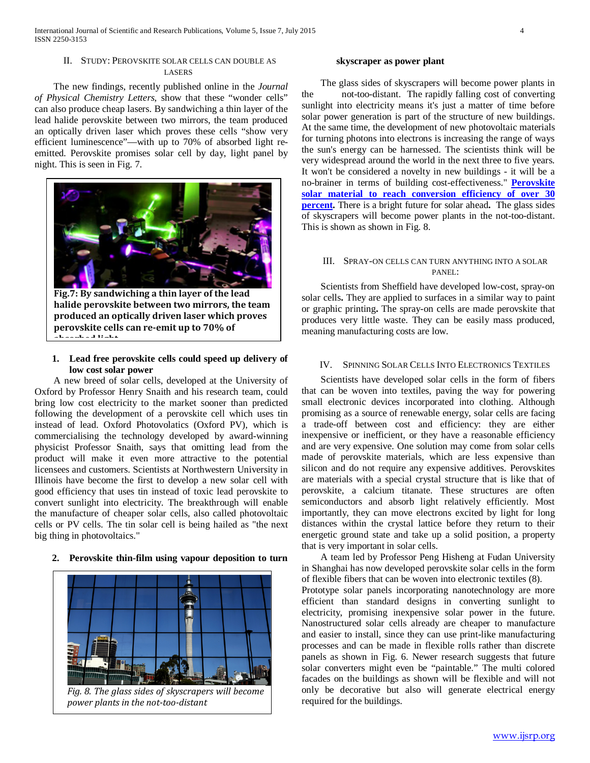### II. STUDY: PEROVSKITE SOLAR CELLS CAN DOUBLE AS LASERS

 The new findings, recently published online in the *Journal of Physical Chemistry Letters*, show that these "wonder cells" can also produce cheap lasers. By sandwiching a thin layer of the lead halide perovskite between two mirrors, the team produced an optically driven laser which proves these cells "show very efficient luminescence"—with up to 70% of absorbed light reemitted. Perovskite promises solar cell by day, light panel by night. This is seen in Fig. 7.



**Fig.7: By sandwiching a thin layer of the lead halide perovskite between two mirrors, the team produced an optically driven laser which proves perovskite cells can re-emit up to 70% of absorbed light**

# **1. Lead free perovskite cells could speed up delivery of low cost solar power**

 A new breed of solar cells, developed at the University of Oxford by Professor Henry Snaith and his research team, could bring low cost electricity to the market sooner than predicted following the development of a perovskite cell which uses tin instead of lead. Oxford Photovolatics (Oxford PV), which is commercialising the technology developed by award-winning physicist Professor Snaith, says that omitting lead from the product will make it even more attractive to the potential licensees and customers. Scientists at Northwestern University in Illinois have become the first to develop a new solar cell with good efficiency that uses tin instead of toxic lead perovskite to convert sunlight into electricity. The breakthrough will enable the manufacture of cheaper solar cells, also called photovoltaic cells or PV cells. The tin solar cell is being hailed as "the next big thing in photovoltaics."

# **2. Perovskite thin-film using vapour deposition to turn**



#### **skyscraper as power plant**

 The glass sides of skyscrapers will become power plants in the not-too-distant. The rapidly falling cost of converting sunlight into electricity means it's just a matter of time before solar power generation is part of the structure of new buildings. At the same time, the development of new photovoltaic materials for turning photons into electrons is increasing the range of ways the sun's energy can be harnessed. The scientists think will be very widespread around the world in the next three to five years. It won't be considered a novelty in new buildings - it will be a no-brainer in terms of building cost-effectiveness." **[Perovskite](http://www.ecoseed.org/technology/17530-perovskite-solar-material-to-reach-conversion-efficiency-of-over-30-percent)  [solar material to reach conversion efficiency of over 30](http://www.ecoseed.org/technology/17530-perovskite-solar-material-to-reach-conversion-efficiency-of-over-30-percent)  [percent.](http://www.ecoseed.org/technology/17530-perovskite-solar-material-to-reach-conversion-efficiency-of-over-30-percent)** There is a bright future for solar ahead**.** The glass sides of skyscrapers will become power plants in the not-too-distant. This is shown as shown in Fig. 8.

#### III. SPRAY-ON CELLS CAN TURN ANYTHING INTO A SOLAR PANEL:

 Scientists from Sheffield have developed low-cost, spray-on solar cells**.** They are applied to surfaces in a similar way to paint or graphic printing**.** The spray-on cells are made perovskite that produces very little waste. They can be easily mass produced, meaning manufacturing costs are low.

# IV. SPINNING SOLAR CELLS INTO ELECTRONICS TEXTILES

 Scientists have developed solar cells in the form of fibers that can be woven into textiles, paving the way for powering small electronic devices incorporated into clothing. Although promising as a source of renewable energy, solar cells are facing a trade-off between cost and efficiency: they are either inexpensive or inefficient, or they have a reasonable efficiency and are very expensive. One solution may come from solar cells made of perovskite materials, which are less expensive than silicon and do not require any expensive additives. Perovskites are materials with a special crystal structure that is like that of perovskite, a calcium titanate. These structures are often semiconductors and absorb light relatively efficiently. Most importantly, they can move electrons excited by light for long distances within the crystal lattice before they return to their energetic ground state and take up a solid position, a property that is very important in solar cells.

 A team led by Professor Peng Hisheng at Fudan University in Shanghai has now developed perovskite solar cells in the form of flexible fibers that can be woven into electronic textiles (8).

Prototype solar panels incorporating nanotechnology are more efficient than standard designs in converting sunlight to electricity, promising inexpensive solar power in the future. Nanostructured solar cells already are cheaper to manufacture and easier to install, since they can use print-like manufacturing processes and can be made in flexible rolls rather than discrete panels as shown in Fig. 6. Newer research suggests that future solar converters might even be "paintable." The multi colored facades on the buildings as shown will be flexible and will not only be decorative but also will generate electrical energy required for the buildings.